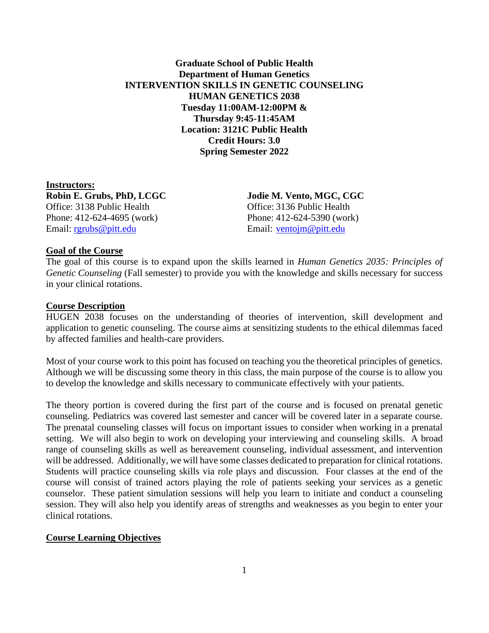# **Graduate School of Public Health Department of Human Genetics INTERVENTION SKILLS IN GENETIC COUNSELING HUMAN GENETICS 2038 Tuesday 11:00AM-12:00PM & Thursday 9:45-11:45AM Location: 3121C Public Health Credit Hours: 3.0 Spring Semester 2022**

**Instructors: Robin E. Grubs, PhD, LCGC Jodie M. Vento, MGC, CGC** Office: 3138 Public Health Office: 3136 Public Health Phone: 412-624-4695 (work) Phone: 412-624-5390 (work) Email: [rgrubs@pitt.edu](mailto:rgrubs@pitt.edu) Email: [ventojm@pitt.edu](mailto:ventojm@pitt.edu)

#### **Goal of the Course**

The goal of this course is to expand upon the skills learned in *Human Genetics 2035: Principles of Genetic Counseling* (Fall semester) to provide you with the knowledge and skills necessary for success in your clinical rotations.

#### **Course Description**

HUGEN 2038 focuses on the understanding of theories of intervention, skill development and application to genetic counseling. The course aims at sensitizing students to the ethical dilemmas faced by affected families and health-care providers.

Most of your course work to this point has focused on teaching you the theoretical principles of genetics. Although we will be discussing some theory in this class, the main purpose of the course is to allow you to develop the knowledge and skills necessary to communicate effectively with your patients.

The theory portion is covered during the first part of the course and is focused on prenatal genetic counseling. Pediatrics was covered last semester and cancer will be covered later in a separate course. The prenatal counseling classes will focus on important issues to consider when working in a prenatal setting. We will also begin to work on developing your interviewing and counseling skills. A broad range of counseling skills as well as bereavement counseling, individual assessment, and intervention will be addressed. Additionally, we will have some classes dedicated to preparation for clinical rotations. Students will practice counseling skills via role plays and discussion. Four classes at the end of the course will consist of trained actors playing the role of patients seeking your services as a genetic counselor. These patient simulation sessions will help you learn to initiate and conduct a counseling session. They will also help you identify areas of strengths and weaknesses as you begin to enter your clinical rotations.

#### **Course Learning Objectives**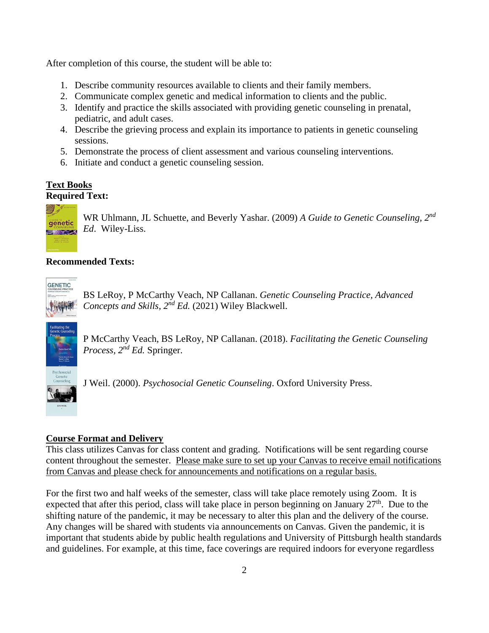After completion of this course, the student will be able to:

- 1. Describe community resources available to clients and their family members.
- 2. Communicate complex genetic and medical information to clients and the public.
- 3. Identify and practice the skills associated with providing genetic counseling in prenatal, pediatric, and adult cases.
- 4. Describe the grieving process and explain its importance to patients in genetic counseling sessions.
- 5. Demonstrate the process of client assessment and various counseling interventions.
- 6. Initiate and conduct a genetic counseling session.

## **Text Books Required Text:**



WR Uhlmann, JL Schuette, and Beverly Yashar. (2009) *A Guide to Genetic Counseling, 2nd Ed*. Wiley-Liss.

# **Recommended Texts:**

**GENETIC** 

BS LeRoy, P McCarthy Veach, NP Callanan. *Genetic Counseling Practice, Advanced Concepts and Skills, 2nd Ed.* (2021) Wiley Blackwell.



P McCarthy Veach, BS LeRoy, NP Callanan. (2018). *Facilitating the Genetic Counseling Process, 2nd Ed.* Springer.

J Weil. (2000). *Psychosocial Genetic Counseling*. Oxford University Press.

# **Course Format and Delivery**

This class utilizes Canvas for class content and grading. Notifications will be sent regarding course content throughout the semester. Please make sure to set up your Canvas to receive email notifications from Canvas and please check for announcements and notifications on a regular basis.

For the first two and half weeks of the semester, class will take place remotely using Zoom. It is expected that after this period, class will take place in person beginning on January  $27<sup>th</sup>$ . Due to the shifting nature of the pandemic, it may be necessary to alter this plan and the delivery of the course. Any changes will be shared with students via announcements on Canvas. Given the pandemic, it is important that students abide by public health regulations and University of Pittsburgh health standards and guidelines. For example, at this time, face coverings are required indoors for everyone regardless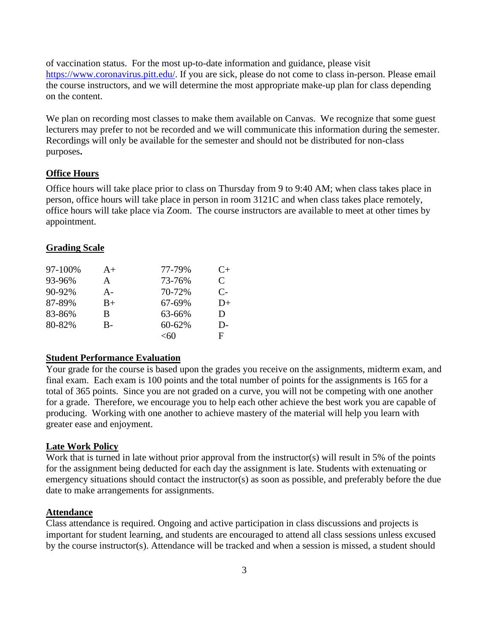of vaccination status. For the most up-to-date information and guidance, please visit [https://www.coronavirus.pitt.edu/.](https://www.coronavirus.pitt.edu/) If you are sick, please do not come to class in-person. Please email the course instructors, and we will determine the most appropriate make-up plan for class depending on the content.

We plan on recording most classes to make them available on Canvas. We recognize that some guest lecturers may prefer to not be recorded and we will communicate this information during the semester. Recordings will only be available for the semester and should not be distributed for non-class purposes**.**

### **Office Hours**

Office hours will take place prior to class on Thursday from 9 to 9:40 AM; when class takes place in person, office hours will take place in person in room 3121C and when class takes place remotely, office hours will take place via Zoom. The course instructors are available to meet at other times by appointment.

### **Grading Scale**

| 97-100% | $A+$  | 77-79% | $C+$ |
|---------|-------|--------|------|
| 93-96%  | A     | 73-76% | C    |
| 90-92%  | A-    | 70-72% | $C-$ |
| 87-89%  | $B+$  | 67-69% | $D+$ |
| 83-86%  | B     | 63-66% | D    |
| 80-82%  | $B -$ | 60-62% | D-   |
|         |       | -60    | F    |

## **Student Performance Evaluation**

Your grade for the course is based upon the grades you receive on the assignments, midterm exam, and final exam. Each exam is 100 points and the total number of points for the assignments is 165 for a total of 365 points. Since you are not graded on a curve, you will not be competing with one another for a grade. Therefore, we encourage you to help each other achieve the best work you are capable of producing. Working with one another to achieve mastery of the material will help you learn with greater ease and enjoyment.

#### **Late Work Policy**

Work that is turned in late without prior approval from the instructor(s) will result in 5% of the points for the assignment being deducted for each day the assignment is late. Students with extenuating or emergency situations should contact the instructor(s) as soon as possible, and preferably before the due date to make arrangements for assignments.

### **Attendance**

Class attendance is required. Ongoing and active participation in class discussions and projects is important for student learning, and students are encouraged to attend all class sessions unless excused by the course instructor(s). Attendance will be tracked and when a session is missed, a student should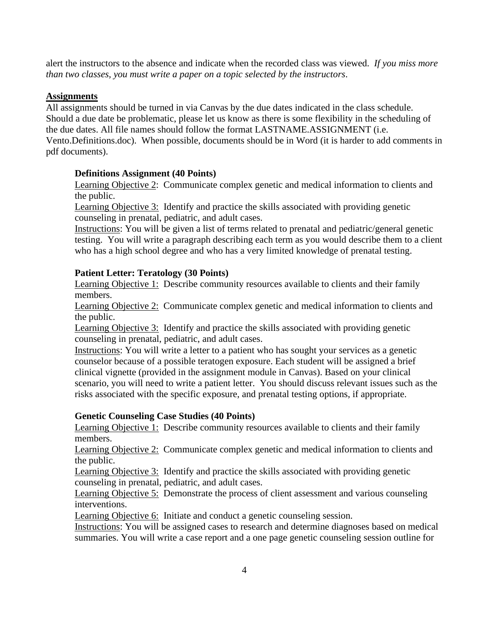alert the instructors to the absence and indicate when the recorded class was viewed. *If you miss more than two classes, you must write a paper on a topic selected by the instructors*.

# **Assignments**

All assignments should be turned in via Canvas by the due dates indicated in the class schedule. Should a due date be problematic, please let us know as there is some flexibility in the scheduling of the due dates. All file names should follow the format LASTNAME.ASSIGNMENT (i.e. Vento.Definitions.doc). When possible, documents should be in Word (it is harder to add comments in pdf documents).

# **Definitions Assignment (40 Points)**

Learning Objective 2: Communicate complex genetic and medical information to clients and the public.

Learning Objective 3: Identify and practice the skills associated with providing genetic counseling in prenatal, pediatric, and adult cases.

Instructions: You will be given a list of terms related to prenatal and pediatric/general genetic testing. You will write a paragraph describing each term as you would describe them to a client who has a high school degree and who has a very limited knowledge of prenatal testing.

## **Patient Letter: Teratology (30 Points)**

Learning Objective 1: Describe community resources available to clients and their family members.

Learning Objective 2: Communicate complex genetic and medical information to clients and the public.

Learning Objective 3: Identify and practice the skills associated with providing genetic counseling in prenatal, pediatric, and adult cases.

Instructions: You will write a letter to a patient who has sought your services as a genetic counselor because of a possible teratogen exposure. Each student will be assigned a brief clinical vignette (provided in the assignment module in Canvas). Based on your clinical scenario, you will need to write a patient letter. You should discuss relevant issues such as the risks associated with the specific exposure, and prenatal testing options, if appropriate.

# **Genetic Counseling Case Studies (40 Points)**

Learning Objective 1: Describe community resources available to clients and their family members.

Learning Objective 2: Communicate complex genetic and medical information to clients and the public.

Learning Objective 3: Identify and practice the skills associated with providing genetic counseling in prenatal, pediatric, and adult cases.

Learning Objective 5: Demonstrate the process of client assessment and various counseling interventions.

Learning Objective 6: Initiate and conduct a genetic counseling session.

Instructions: You will be assigned cases to research and determine diagnoses based on medical summaries. You will write a case report and a one page genetic counseling session outline for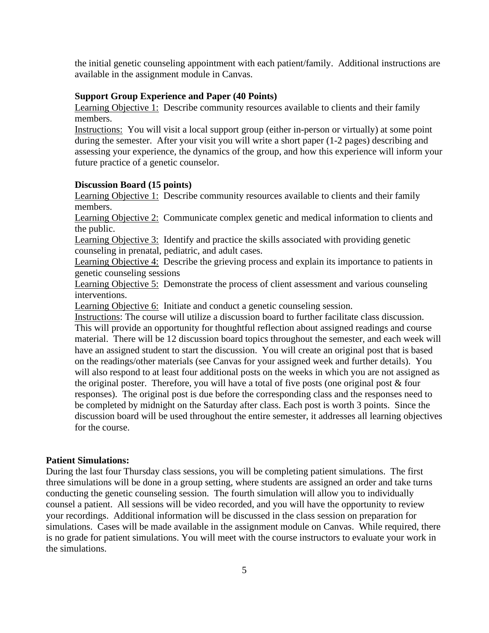the initial genetic counseling appointment with each patient/family. Additional instructions are available in the assignment module in Canvas.

#### **Support Group Experience and Paper (40 Points)**

Learning Objective 1: Describe community resources available to clients and their family members.

Instructions: You will visit a local support group (either in-person or virtually) at some point during the semester. After your visit you will write a short paper (1-2 pages) describing and assessing your experience, the dynamics of the group, and how this experience will inform your future practice of a genetic counselor.

#### **Discussion Board (15 points)**

Learning Objective 1: Describe community resources available to clients and their family members.

Learning Objective 2: Communicate complex genetic and medical information to clients and the public.

Learning Objective 3: Identify and practice the skills associated with providing genetic counseling in prenatal, pediatric, and adult cases.

Learning Objective 4: Describe the grieving process and explain its importance to patients in genetic counseling sessions

Learning Objective 5: Demonstrate the process of client assessment and various counseling interventions.

Learning Objective 6: Initiate and conduct a genetic counseling session.

Instructions: The course will utilize a discussion board to further facilitate class discussion. This will provide an opportunity for thoughtful reflection about assigned readings and course material. There will be 12 discussion board topics throughout the semester, and each week will have an assigned student to start the discussion. You will create an original post that is based on the readings/other materials (see Canvas for your assigned week and further details). You will also respond to at least four additional posts on the weeks in which you are not assigned as the original poster. Therefore, you will have a total of five posts (one original post & four responses). The original post is due before the corresponding class and the responses need to be completed by midnight on the Saturday after class. Each post is worth 3 points. Since the discussion board will be used throughout the entire semester, it addresses all learning objectives for the course.

#### **Patient Simulations:**

During the last four Thursday class sessions, you will be completing patient simulations. The first three simulations will be done in a group setting, where students are assigned an order and take turns conducting the genetic counseling session. The fourth simulation will allow you to individually counsel a patient. All sessions will be video recorded, and you will have the opportunity to review your recordings. Additional information will be discussed in the class session on preparation for simulations. Cases will be made available in the assignment module on Canvas. While required, there is no grade for patient simulations. You will meet with the course instructors to evaluate your work in the simulations.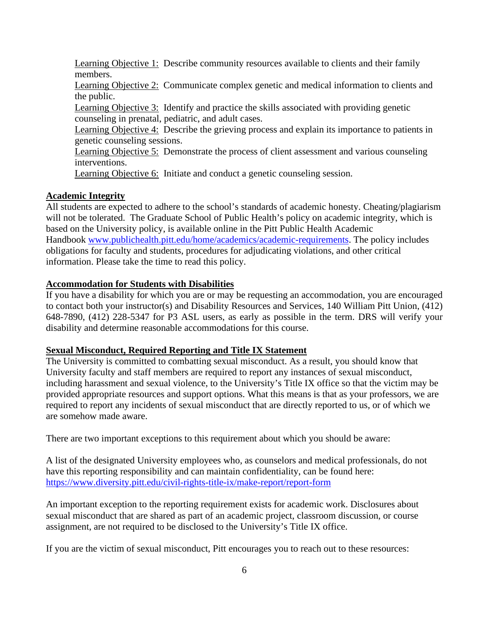Learning Objective 1: Describe community resources available to clients and their family members.

Learning Objective 2: Communicate complex genetic and medical information to clients and the public.

Learning Objective 3: Identify and practice the skills associated with providing genetic counseling in prenatal, pediatric, and adult cases.

Learning Objective 4: Describe the grieving process and explain its importance to patients in genetic counseling sessions.

Learning Objective 5: Demonstrate the process of client assessment and various counseling interventions.

Learning Objective 6: Initiate and conduct a genetic counseling session.

### **Academic Integrity**

All students are expected to adhere to the school's standards of academic honesty. Cheating/plagiarism will not be tolerated. The Graduate School of Public Health's policy on academic integrity, which is based on the University policy, is available online in the Pitt Public Health Academic Handbook [www.publichealth.pitt.edu/home/academics/academic-requirements.](https://na01.safelinks.protection.outlook.com/?url=http%3A%2F%2Fwww.publichealth.pitt.edu%2Fhome%2Facademics%2Facademic-requirements&data=01%7C01%7CRobin.Leaf%40pitt.edu%7Cd2b682f8df1344a1488b08d5f7078713%7C9ef9f489e0a04eeb87cc3a526112fd0d%7C1&sdata=6ufA2nSlUetTPqxC3zE70WlE7mLMvNKznCNB7nQHwj0%3D&reserved=0) The policy includes obligations for faculty and students, procedures for adjudicating violations, and other critical information. Please take the time to read this policy.

### **Accommodation for Students with Disabilities**

If you have a disability for which you are or may be requesting an accommodation, you are encouraged to contact both your instructor(s) and Disability Resources and Services, 140 William Pitt Union, (412) 648-7890, (412) 228-5347 for P3 ASL users, as early as possible in the term. DRS will verify your disability and determine reasonable accommodations for this course.

#### **Sexual Misconduct, Required Reporting and Title IX Statement**

The University is committed to combatting sexual misconduct. As a result, you should know that University faculty and staff members are required to report any instances of sexual misconduct, including harassment and sexual violence, to the University's Title IX office so that the victim may be provided appropriate resources and support options. What this means is that as your professors, we are required to report any incidents of sexual misconduct that are directly reported to us, or of which we are somehow made aware.

There are two important exceptions to this requirement about which you should be aware:

A list of the designated University employees who, as counselors and medical professionals, do not have this reporting responsibility and can maintain confidentiality, can be found here: <https://www.diversity.pitt.edu/civil-rights-title-ix/make-report/report-form>

An important exception to the reporting requirement exists for academic work. Disclosures about sexual misconduct that are shared as part of an academic project, classroom discussion, or course assignment, are not required to be disclosed to the University's Title IX office.

If you are the victim of sexual misconduct, Pitt encourages you to reach out to these resources: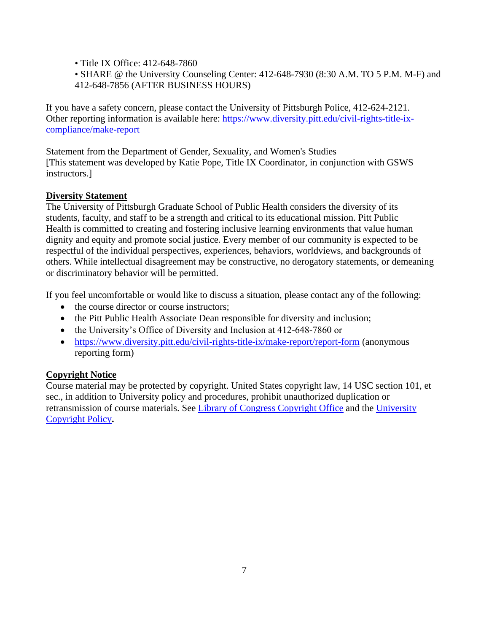• Title IX Office: 412-648-7860

• SHARE @ the University Counseling Center: 412-648-7930 (8:30 A.M. TO 5 P.M. M-F) and 412-648-7856 (AFTER BUSINESS HOURS)

If you have a safety concern, please contact the University of Pittsburgh Police, 412-624-2121. Other reporting information is available here: [https://www.diversity.pitt.edu/civil-rights-title-ix](https://www.diversity.pitt.edu/civil-rights-title-ix-compliance/make-report)[compliance/make-report](https://www.diversity.pitt.edu/civil-rights-title-ix-compliance/make-report)

Statement from the Department of Gender, Sexuality, and Women's Studies [This statement was developed by Katie Pope, Title IX Coordinator, in conjunction with GSWS instructors.]

# **Diversity Statement**

The University of Pittsburgh Graduate School of Public Health considers the diversity of its students, faculty, and staff to be a strength and critical to its educational mission. Pitt Public Health is committed to creating and fostering inclusive learning environments that value human dignity and equity and promote social justice. Every member of our community is expected to be respectful of the individual perspectives, experiences, behaviors, worldviews, and backgrounds of others. While intellectual disagreement may be constructive, no derogatory statements, or demeaning or discriminatory behavior will be permitted.

If you feel uncomfortable or would like to discuss a situation, please contact any of the following:

- the course director or course instructors;
- the Pitt Public Health Associate Dean responsible for diversity and inclusion;
- the University's Office of Diversity and Inclusion at 412-648-7860 or
- <https://www.diversity.pitt.edu/civil-rights-title-ix/make-report/report-form> (anonymous reporting form)

# **Copyright Notice**

Course material may be protected by copyright. United States copyright law, 14 USC section 101, et sec., in addition to University policy and procedures, prohibit unauthorized duplication or retransmission of course materials. See [Library of Congress Copyright Office](http://www.copyright.gov/) and the [University](https://www.policy.pitt.edu/cs-03-copying-copyrighted-material-formerly-10-04-01)  [Copyright Policy](https://www.policy.pitt.edu/cs-03-copying-copyrighted-material-formerly-10-04-01)**.**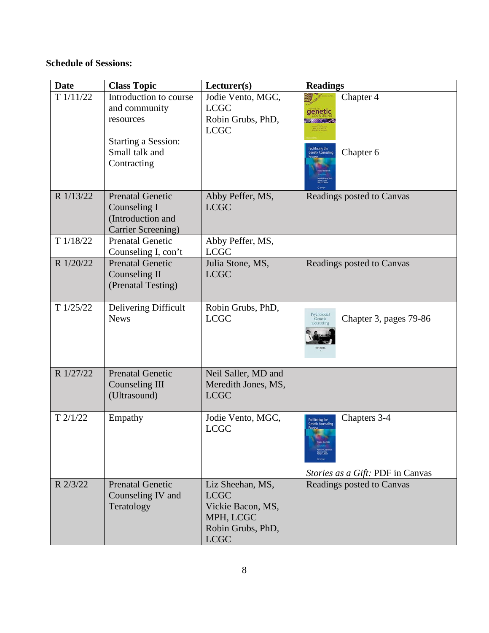# **Schedule of Sessions:**

| <b>Date</b> | <b>Class Topic</b>                                                                 | Lecturer(s)                                                                                           | <b>Readings</b>                                                                                 |
|-------------|------------------------------------------------------------------------------------|-------------------------------------------------------------------------------------------------------|-------------------------------------------------------------------------------------------------|
| T1/11/22    | Introduction to course<br>and community<br>resources                               | Jodie Vento, MGC,<br><b>LCGC</b><br>Robin Grubs, PhD,<br><b>LCGC</b>                                  | Chapter 4<br>genetic<br><b>Service</b>                                                          |
|             | <b>Starting a Session:</b><br>Small talk and<br>Contracting                        |                                                                                                       | <b>Facilitating the<br/>Genetic Counseling</b><br>Chapter 6                                     |
| R 1/13/22   | <b>Prenatal Genetic</b><br>Counseling I<br>(Introduction and<br>Carrier Screening) | Abby Peffer, MS,<br><b>LCGC</b>                                                                       | Readings posted to Canvas                                                                       |
| T1/18/22    | <b>Prenatal Genetic</b><br>Counseling I, con't                                     | Abby Peffer, MS,<br><b>LCGC</b>                                                                       |                                                                                                 |
| R 1/20/22   | <b>Prenatal Genetic</b><br>Counseling II<br>(Prenatal Testing)                     | Julia Stone, MS,<br><b>LCGC</b>                                                                       | Readings posted to Canvas                                                                       |
| T1/25/22    | Delivering Difficult<br><b>News</b>                                                | Robin Grubs, PhD,<br><b>LCGC</b>                                                                      | Psychosocial<br>Chapter 3, pages 79-86<br>Genetic<br>Counseling                                 |
| R 1/27/22   | <b>Prenatal Genetic</b><br><b>Counseling III</b><br>(Ultrasound)                   | Neil Saller, MD and<br>Meredith Jones, MS,<br><b>LCGC</b>                                             |                                                                                                 |
| $T$ 2/1/22  | Empathy                                                                            | Jodie Vento, MGC,<br><b>LCGC</b>                                                                      | Chapters 3-4<br>.<br>Facilitating the<br>Genetic Counseling<br>Stories as a Gift: PDF in Canvas |
| R 2/3/22    | <b>Prenatal Genetic</b><br>Counseling IV and<br>Teratology                         | Liz Sheehan, MS,<br><b>LCGC</b><br>Vickie Bacon, MS,<br>MPH, LCGC<br>Robin Grubs, PhD,<br><b>LCGC</b> | Readings posted to Canvas                                                                       |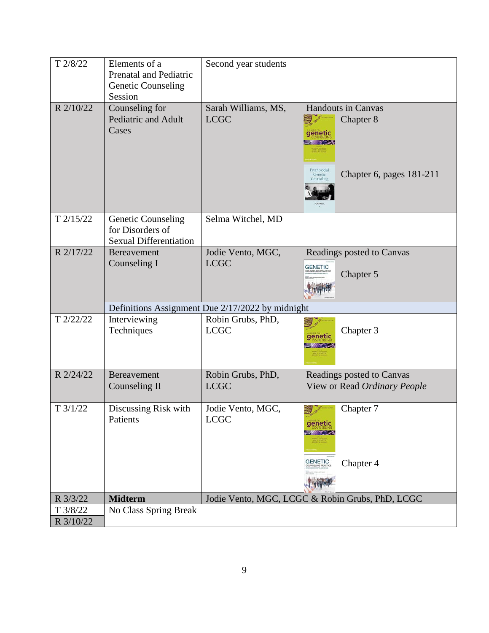| T 2/8/22              | Elements of a<br>Prenatal and Pediatric<br><b>Genetic Counseling</b><br>Session | Second year students                             |                                                                                                                        |
|-----------------------|---------------------------------------------------------------------------------|--------------------------------------------------|------------------------------------------------------------------------------------------------------------------------|
| R 2/10/22             | Counseling for<br>Pediatric and Adult<br>Cases                                  | Sarah Williams, MS,<br><b>LCGC</b>               | <b>Handouts in Canvas</b><br>Chapter 8<br>genetic<br>Psychosocial<br>Chapter 6, pages 181-211<br>Genetic<br>Counseling |
| $T$ 2/15/22           | <b>Genetic Counseling</b><br>for Disorders of<br><b>Sexual Differentiation</b>  | Selma Witchel, MD                                |                                                                                                                        |
| R 2/17/22             | <b>Bereavement</b><br>Counseling I                                              | Jodie Vento, MGC,<br><b>LCGC</b>                 | Readings posted to Canvas<br><b>GENETIC</b><br>Chapter 5                                                               |
|                       |                                                                                 | Definitions Assignment Due 2/17/2022 by midnight |                                                                                                                        |
| T 2/22/22             | Interviewing<br>Techniques                                                      | Robin Grubs, PhD,<br><b>LCGC</b>                 | Chapter 3<br>genetic                                                                                                   |
| R 2/24/22             | <b>Bereavement</b><br>Counseling II                                             | Robin Grubs, PhD,<br><b>LCGC</b>                 | Readings posted to Canvas<br>View or Read Ordinary People                                                              |
| $T \frac{3}{1/22}$    | Discussing Risk with<br>Patients                                                | Jodie Vento, MGC,<br><b>LCGC</b>                 | Chapter 7<br>genetic<br><b>STARK STARK</b><br><b>GENETIC</b><br>Chapter 4                                              |
| R 3/3/22              | <b>Midterm</b>                                                                  |                                                  | Jodie Vento, MGC, LCGC & Robin Grubs, PhD, LCGC                                                                        |
| T 3/8/22<br>R 3/10/22 | No Class Spring Break                                                           |                                                  |                                                                                                                        |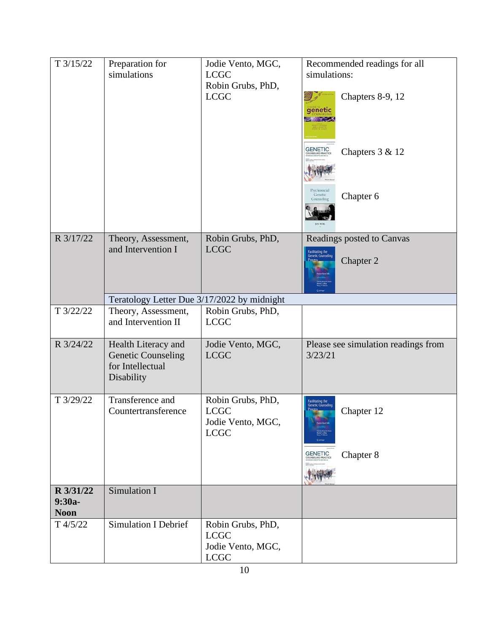| T3/15/22                             | Preparation for<br>simulations                                                     | Jodie Vento, MGC,<br><b>LCGC</b><br>Robin Grubs, PhD,<br><b>LCGC</b> | Recommended readings for all<br>simulations:<br>Chapters 8-9, 12<br>genetic<br><b>GENETIC</b><br>Chapters 3 & 12<br>Psychosocial<br>Genetic<br>Chapter 6<br>Counseling |
|--------------------------------------|------------------------------------------------------------------------------------|----------------------------------------------------------------------|------------------------------------------------------------------------------------------------------------------------------------------------------------------------|
| R 3/17/22                            | Theory, Assessment,<br>and Intervention I                                          | Robin Grubs, PhD,<br><b>LCGC</b>                                     | Readings posted to Canvas<br><b>Facilitating the</b><br>Genetic Counseling<br>Chapter 2                                                                                |
|                                      | Teratology Letter Due 3/17/2022 by midnight                                        |                                                                      |                                                                                                                                                                        |
| T 3/22/22                            | Theory, Assessment,<br>and Intervention II                                         | Robin Grubs, PhD,<br><b>LCGC</b>                                     |                                                                                                                                                                        |
| R 3/24/22                            | Health Literacy and<br><b>Genetic Counseling</b><br>for Intellectual<br>Disability | Jodie Vento, MGC,<br><b>LCGC</b>                                     | Please see simulation readings from<br>3/23/21                                                                                                                         |
| T 3/29/22                            | Transference and<br>Countertransference                                            | Robin Grubs, PhD,<br><b>LCGC</b><br>Jodie Vento, MGC,<br><b>LCGC</b> | .<br>Facilitating the<br>Genetic Counseling<br>Process_<br>Chapter 12<br><b>GENETIC</b><br>Chapter 8                                                                   |
| R 3/31/22<br>$9:30a-$<br><b>Noon</b> | Simulation I                                                                       |                                                                      |                                                                                                                                                                        |
| $T\frac{4}{5/22}$                    | <b>Simulation I Debrief</b>                                                        | Robin Grubs, PhD,<br><b>LCGC</b><br>Jodie Vento, MGC,<br><b>LCGC</b> |                                                                                                                                                                        |